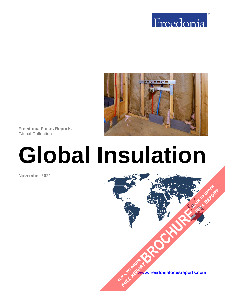



**Freedonia Focus Reports** Global Collection

# **Global Insulation**

**November 2021**



**[BROCHURE](https://www.freedoniafocusreports.com/Global-Insulation-FW60026/?progid=89541) CLICK TO ORDER** 

**FULL REPORT**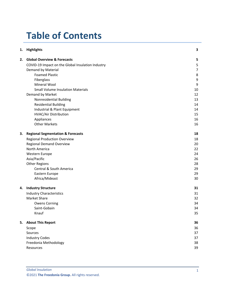# **Table of Contents**

| 1. | <b>Highlights</b>                                 | 3              |
|----|---------------------------------------------------|----------------|
| 2. | <b>Global Overview &amp; Forecasts</b>            | 5              |
|    | COVID-19 Impact on the Global Insulation Industry | 5              |
|    | Demand by Material                                | $\overline{7}$ |
|    | <b>Foamed Plastic</b>                             | 8              |
|    | Fiberglass                                        | 9              |
|    | Mineral Wool                                      | 9              |
|    | <b>Small Volume Insulation Materials</b>          | 10             |
|    | Demand by Market                                  | 12             |
|    | Nonresidential Building                           | 13             |
|    | <b>Residential Building</b>                       | 14             |
|    | Industrial & Plant Equipment                      | 14             |
|    | HVAC/Air Distribution                             | 15             |
|    | Appliances                                        | 16             |
|    | <b>Other Markets</b>                              | 16             |
| 3. | <b>Regional Segmentation &amp; Forecasts</b>      | 18             |
|    | <b>Regional Production Overview</b>               | 18             |
|    | <b>Regional Demand Overview</b>                   | 20             |
|    | North America                                     | 22             |
|    | Western Europe                                    | 24             |
|    | Asia/Pacific                                      | 26             |
|    | <b>Other Regions</b>                              | 28             |
|    | Central & South America                           | 29             |
|    | Eastern Europe                                    | 29             |
|    | Africa/Mideast                                    | 30             |
| 4. | <b>Industry Structure</b>                         | 31             |
|    | <b>Industry Characteristics</b>                   | 31             |
|    | Market Share                                      | 32             |
|    | <b>Owens Corning</b>                              | 34             |
|    | Saint-Gobain                                      | 34             |
|    | Knauf                                             | 35             |
| 5. | <b>About This Report</b>                          | 36             |
|    | Scope                                             | 36             |
|    | Sources                                           | 37             |
|    | <b>Industry Codes</b>                             | 37             |
|    | Freedonia Methodology                             | 38             |
|    | Resources                                         | 39             |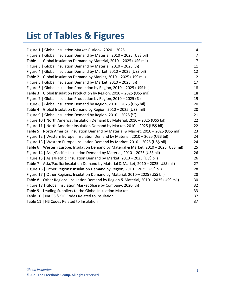# **List of Tables & Figures**

| Figure 1   Global Insulation Market Outlook, 2020 - 2025                                 | 4              |
|------------------------------------------------------------------------------------------|----------------|
| Figure 2   Global Insulation Demand by Material, 2010 - 2025 (US\$ bil)                  | $\overline{7}$ |
| Table 1   Global Insulation Demand by Material, 2010 - 2025 (US\$ mil)                   | $\overline{7}$ |
| Figure 3   Global Insulation Demand by Material, 2010 - 2025 (%)                         | 11             |
| Figure 4   Global Insulation Demand by Market, 2010 - 2025 (US\$ bil)                    | 12             |
| Table 2   Global Insulation Demand by Market, 2010 - 2025 (US\$ mil)                     | 12             |
| Figure 5   Global Insulation Demand by Market, 2010 - 2025 (%)                           | 17             |
| Figure 6   Global Insulation Production by Region, 2010 - 2025 (US\$ bil)                | 18             |
| Table 3   Global Insulation Production by Region, 2010 - 2025 (US\$ mil)                 | 18             |
| Figure 7   Global Insulation Production by Region, 2010 - 2025 (%)                       | 19             |
| Figure 8   Global Insulation Demand by Region, 2010 - 2025 (US\$ bil)                    | 20             |
| Table 4   Global Insulation Demand by Region, 2010 - 2025 (US\$ mil)                     | 20             |
| Figure 9   Global Insulation Demand by Region, 2010 - 2025 (%)                           | 21             |
| Figure 10   North America: Insulation Demand by Material, 2010 - 2025 (US\$ bil)         | 22             |
| Figure 11   North America: Insulation Demand by Market, 2010 - 2025 (US\$ bil)           | 22             |
| Table 5   North America: Insulation Demand by Material & Market, 2010 - 2025 (US\$ mil)  | 23             |
| Figure 12   Western Europe: Insulation Demand by Material, 2010 - 2025 (US\$ bil)        | 24             |
| Figure 13   Western Europe: Insulation Demand by Market, 2010 - 2025 (US\$ bil)          | 24             |
| Table 6   Western Europe: Insulation Demand by Material & Market, 2010 - 2025 (US\$ mil) | 25             |
| Figure 14   Asia/Pacific: Insulation Demand by Material, 2010 - 2025 (US\$ bil)          | 26             |
| Figure 15   Asia/Pacific: Insulation Demand by Market, 2010 - 2025 (US\$ bil)            | 26             |
| Table 7   Asia/Pacific: Insulation Demand by Material & Market, 2010 - 2025 (US\$ mil)   | 27             |
| Figure 16   Other Regions: Insulation Demand by Region, 2010 - 2025 (US\$ bil)           | 28             |
| Figure 17   Other Regions: Insulation Demand by Material, 2010 - 2025 (US\$ bil)         | 28             |
| Table 8   Other Regions: Insulation Demand by Region & Material, 2010 - 2025 (US\$ mil)  | 30             |
| Figure 18   Global Insulation Market Share by Company, 2020 (%)                          | 32             |
| Table 9   Leading Suppliers to the Global Insulation Market                              | 33             |
| Table 10   NAICS & SIC Codes Related to Insulation                                       | 37             |
| Table 11   HS Codes Related to Insulation                                                | 37             |
|                                                                                          |                |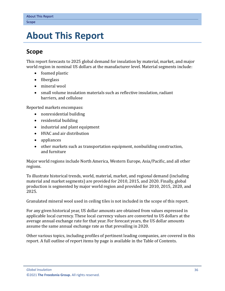## <span id="page-3-0"></span>**5. About This Report**

## <span id="page-3-1"></span>**Scope**

This report forecasts to 2025 global demand for insulation by material, market, and major world region in nominal US dollars at the manufacturer level. Material segments include:

- foamed plastic
- fiberglass
- mineral wool
- small volume insulation materials such as reflective insulation, radiant barriers, and cellulose

Reported markets encompass:

- nonresidential building
- residential building
- industrial and plant equipment
- HVAC and air distribution
- appliances
- other markets such as transportation equipment, nonbuilding construction, and furniture

Major world regions include North America, Western Europe, Asia/Pacific, and all other regions.

To illustrate historical trends, world, material, market, and regional demand (including material and market segments) are provided for 2010, 2015, and 2020. Finally, global production is segmented by major world region and provided for 2010, 2015, 2020, and 2025.

Granulated mineral wool used in ceiling tiles is not included in the scope of this report.

For any given historical year, US dollar amounts are obtained from values expressed in applicable local currency. These local currency values are converted to US dollars at the average annual exchange rate for that year. For forecast years, the US dollar amounts assume the same annual exchange rate as that prevailing in 2020.

Other various topics, including profiles of pertinent leading companies, are covered in this report. A full outline of report items by page is available in the Table of Contents.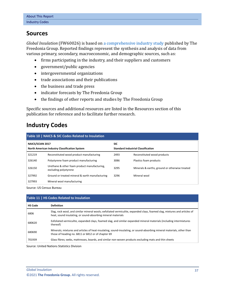## <span id="page-4-0"></span>**Sources**

*Global Insulation* (FW60026) is based on [a comprehensive industry study](http://www.freedoniagroup.com/DocumentDetails.aspx?ReferrerId=FL-FOCUS&studyid=4267) published by The Freedonia Group. Reported findings represent the synthesis and analysis of data from various primary, secondary, macroeconomic, and demographic sources, such as:

- firms participating in the industry, and their suppliers and customers
- government/public agencies
- intergovernmental organizations
- trade associations and their publications
- the business and trade press
- indicator forecasts by The Freedonia Group
- the findings of other reports and studies by The Freedonia Group

Specific sources and additional resources are listed in the Resources section of this publication for reference and to facilitate further research.

## <span id="page-4-1"></span>**Industry Codes**

<span id="page-4-2"></span>

| Table 10   NAICS & SIC Codes Related to Insulation                |                                                                       |                                                         |                                                |  |  |  |
|-------------------------------------------------------------------|-----------------------------------------------------------------------|---------------------------------------------------------|------------------------------------------------|--|--|--|
| NAICS/SCIAN 2017<br>North American Industry Classification System |                                                                       | <b>SIC</b><br><b>Standard Industrial Classification</b> |                                                |  |  |  |
| 321219                                                            | Reconstituted wood product manufacturing                              | 2493                                                    | Reconstituted wood products                    |  |  |  |
| 326140                                                            | Polystyrene foam product manufacturing                                | 3086                                                    | Plastics foam products                         |  |  |  |
| 326150                                                            | Urethane & other foam product manufacturing,<br>excluding polystyrene | 3295                                                    | Minerals & earths, ground or otherwise treated |  |  |  |
| 327992                                                            | Ground or treated mineral & earth manufacturing                       | 3296                                                    | Mineral wool                                   |  |  |  |
| 327993                                                            | Mineral wool manufacturing                                            |                                                         |                                                |  |  |  |

Source: US Census Bureau

<span id="page-4-3"></span>

| Table 11   HS Codes Related to Insulation |                                                                                                                                                                                           |  |  |  |
|-------------------------------------------|-------------------------------------------------------------------------------------------------------------------------------------------------------------------------------------------|--|--|--|
| <b>HS Code</b>                            | <b>Definition</b>                                                                                                                                                                         |  |  |  |
| 6806                                      | Slag, rock wool, and similar mineral wools; exfoliated vermiculite, expanded clays, foamed slag, mixtures and articles of<br>heat, sound insulating, or sound-absorbing mineral materials |  |  |  |
| 680620                                    | Exfoliated vermiculite, expanded clays, foamed slag, and similar expanded mineral materials (including intermixtures<br>thereof)                                                          |  |  |  |
| 680690                                    | Minerals; mixtures and articles of heat-insulating, sound-insulating, or sound-absorbing mineral materials, other than<br>those of heading no. 6811 or 6812 or of chapter 69              |  |  |  |
| 701939                                    | Glass fibres; webs, mattresses, boards, and similar non-woven products excluding mats and thin sheets                                                                                     |  |  |  |

Source: United Nations Statistics Division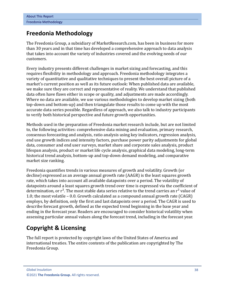## <span id="page-5-0"></span>**Freedonia Methodology**

The Freedonia Group, a subsidiary of MarketResearch.com, has been in business for more than 30 years and in that time has developed a comprehensive approach to data analysis that takes into account the variety of industries covered and the evolving needs of our customers.

Every industry presents different challenges in market sizing and forecasting, and this requires flexibility in methodology and approach. Freedonia methodology integrates a variety of quantitative and qualitative techniques to present the best overall picture of a market's current position as well as its future outlook: When published data are available, we make sure they are correct and representative of reality. We understand that published data often have flaws either in scope or quality, and adjustments are made accordingly. Where no data are available, we use various methodologies to develop market sizing (both top-down and bottom-up) and then triangulate those results to come up with the most accurate data series possible. Regardless of approach, we also talk to industry participants to verify both historical perspective and future growth opportunities.

Methods used in the preparation of Freedonia market research include, but are not limited to, the following activities: comprehensive data mining and evaluation, primary research, consensus forecasting and analysis, ratio analysis using key indicators, regression analysis, end use growth indices and intensity factors, purchase power parity adjustments for global data, consumer and end user surveys, market share and corporate sales analysis, product lifespan analysis, product or market life cycle analysis, graphical data modeling, long-term historical trend analysis, bottom-up and top-down demand modeling, and comparative market size ranking.

Freedonia quantifies trends in various measures of growth and volatility. Growth (or decline) expressed as an average annual growth rate (AAGR) is the least squares growth rate, which takes into account all available datapoints over a period. The volatility of datapoints around a least squares growth trend over time is expressed via the coefficient of determination, or  $r^2$ . The most stable data series relative to the trend carries an  $r^2$  value of 1.0; the most volatile – 0.0. Growth calculated as a compound annual growth rate (CAGR) employs, by definition, only the first and last datapoints over a period. The CAGR is used to describe forecast growth, defined as the expected trend beginning in the base year and ending in the forecast year. Readers are encouraged to consider historical volatility when assessing particular annual values along the forecast trend, including in the forecast year.

## **Copyright & Licensing**

The full report is protected by copyright laws of the United States of America and international treaties. The entire contents of the publication are copyrighted by The Freedonia Group.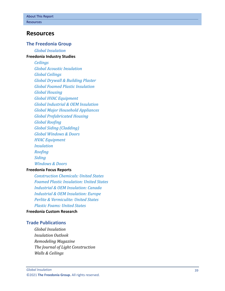### <span id="page-6-0"></span>**Resources**

#### **The Freedonia Group**

*[Global Insulation](http://www.freedoniagroup.com/DocumentDetails.aspx?ReferrerId=FL-FOCUS&studyid=4267)* **[Freedonia Industry Studies](http://www.freedoniagroup.com/Home.aspx?ReferrerId=FL-Focus)**

> *[Ceilings](https://www.freedoniagroup.com/DocumentDetails.aspx?ReferrerId=FL-FOCUS&StudyId=3719) [Global Acoustic Insulation](https://www.freedoniagroup.com/DocumentDetails.aspx?ReferrerId=FL-FOCUS&StudyId=3708) [Global Ceilings](https://www.freedoniagroup.com/DocumentDetails.aspx?ReferrerId=FL-FOCUS&StudyId=4209) [Global Drywall & Building Plaster](https://www.freedoniagroup.com/DocumentDetails.aspx?ReferrerId=FL-FOCUS&StudyId=3768) [Global Foamed Plastic Insulation](https://www.freedoniagroup.com/DocumentDetails.aspx?ReferrerId=FL-FOCUS&StudyId=3756) [Global Housing](https://www.freedoniagroup.com/DocumentDetails.aspx?ReferrerId=FL-FOCUS&StudyId=3877) [Global HVAC Equipment](https://www.freedoniagroup.com/DocumentDetails.aspx?ReferrerId=FL-FOCUS&StudyId=4046) [Global Industrial & OEM Insulation](https://www.freedoniagroup.com/DocumentDetails.aspx?ReferrerId=FL-FOCUS&StudyId=3783) [Global Major Household Appliances](https://www.freedoniagroup.com/DocumentDetails.aspx?ReferrerId=FL-FOCUS&StudyId=3739) [Global Prefabricated Housing](https://www.freedoniagroup.com/DocumentDetails.aspx?ReferrerId=FL-FOCUS&StudyId=3971) [Global Roofing](https://www.freedoniagroup.com/DocumentDetails.aspx?ReferrerId=FL-FOCUS&StudyId=3698) [Global Siding \(Cladding\)](https://www.freedoniagroup.com/DocumentDetails.aspx?ReferrerId=FL-FOCUS&StudyId=3874) [Global Windows & Doors](https://www.freedoniagroup.com/DocumentDetails.aspx?ReferrerId=FL-FOCUS&StudyId=3771) [HVAC Equipment](https://www.freedoniagroup.com/DocumentDetails.aspx?ReferrerId=FL-FOCUS&StudyId=3730) [Insulation](https://www.freedoniagroup.com/DocumentDetails.aspx?ReferrerId=FL-FOCUS&StudyId=3754) [Roofing](https://www.freedoniagroup.com/DocumentDetails.aspx?ReferrerId=FL-FOCUS&StudyId=3835) [Siding](https://www.freedoniagroup.com/DocumentDetails.aspx?ReferrerId=FL-FOCUS&StudyId=3775) [Windows & Doors](https://www.freedoniagroup.com/DocumentDetails.aspx?ReferrerId=FL-FOCUS&StudyId=3726)*

#### **[Freedonia Focus Reports](https://www.freedoniafocusreports.com/redirect.asp?progid=89534&url=/)**

*[Construction Chemicals: United States](https://www.freedoniafocusreports.com/Construction-Chemicals-United-States-FF35053/?progid=89534) [Foamed Plastic Insulation: United States](https://www.freedoniafocusreports.com/Foamed-Plastic-Insulation-United-States-FF60118/?progid=89534) [Industrial & OEM Insulation: Canada](https://www.freedoniafocusreports.com/Industrial-OEM-Insulation-Canada-FA60121/?progid=89534) [Industrial & OEM Insulation: Europe](https://www.freedoniafocusreports.com/ndustrial-OEM-Insulation-Europe-FE60121/?progid=89534) [Perlite & Vermiculite: United States](https://www.freedoniafocusreports.com/Perlite-Vermiculite-United-States-FF65049/?progid=89534) [Plastic Foams: United States](https://www.freedoniafocusreports.com/Plastic-Foams-United-States-FF55013/)*

#### **[Freedonia Custom Research](http://www.freedoniagroup.com/CustomResearch.aspx?ReferrerId=FL-Focus)**

#### **Trade Publications**

*Global Insulation Insulation Outlook Remodeling Magazine The Journal of Light Construction Walls & Ceilings*